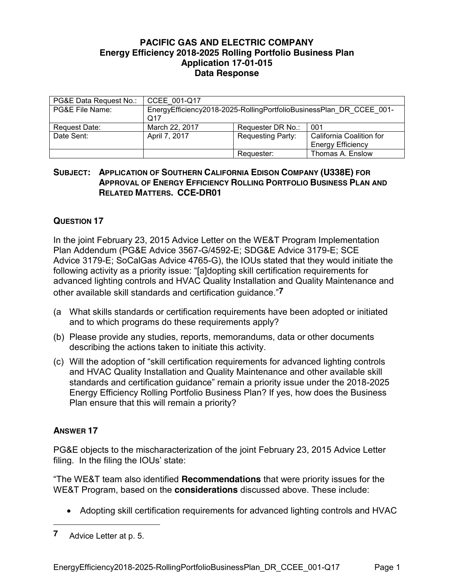## **PACIFIC GAS AND ELECTRIC COMPANY Energy Efficiency 2018-2025 Rolling Portfolio Business Plan Application 17-01-015 Data Response**

| PG&E Data Request No.: | CCEE 001-Q17                                                               |                          |                                                      |
|------------------------|----------------------------------------------------------------------------|--------------------------|------------------------------------------------------|
| PG&E File Name:        | EnergyEfficiency2018-2025-RollingPortfolioBusinessPlan DR CCEE 001-<br>Q17 |                          |                                                      |
| Request Date:          | March 22, 2017                                                             | Requester DR No.:        | 001                                                  |
| Date Sent:             | April 7, 2017                                                              | <b>Requesting Party:</b> | California Coalition for<br><b>Energy Efficiency</b> |
|                        |                                                                            | Requester:               | Thomas A. Enslow                                     |

## **SUBJECT: APPLICATION OF SOUTHERN CALIFORNIA EDISON COMPANY (U338E) FOR APPROVAL OF ENERGY EFFICIENCY ROLLING PORTFOLIO BUSINESS PLAN AND RELATED MATTERS. CCE-DR01**

## **QUESTION 17**

In the joint February 23, 2015 Advice Letter on the WE&T Program Implementation Plan Addendum (PG&E Advice 3567-G/4592-E; SDG&E Advice 3179-E; SCE Advice 3179-E; SoCalGas Advice 4765-G), the IOUs stated that they would initiate the following activity as a priority issue: "[a]dopting skill certification requirements for advanced lighting controls and HVAC Quality Installation and Quality Maintenance and other available skill standards and certification guidance."**7**

- (a What skills standards or certification requirements have been adopted or initiated and to which programs do these requirements apply?
- (b) Please provide any studies, reports, memorandums, data or other documents describing the actions taken to initiate this activity.
- (c) Will the adoption of "skill certification requirements for advanced lighting controls and HVAC Quality Installation and Quality Maintenance and other available skill standards and certification guidance" remain a priority issue under the 2018-2025 Energy Efficiency Rolling Portfolio Business Plan? If yes, how does the Business Plan ensure that this will remain a priority?

## **ANSWER 17**

 $\overline{a}$ 

PG&E objects to the mischaracterization of the joint February 23, 2015 Advice Letter filing. In the filing the IOUs' state:

"The WE&T team also identified **Recommendations** that were priority issues for the WE&T Program, based on the **considerations** discussed above. These include:

• Adopting skill certification requirements for advanced lighting controls and HVAC

**<sup>7</sup>** Advice Letter at p. 5.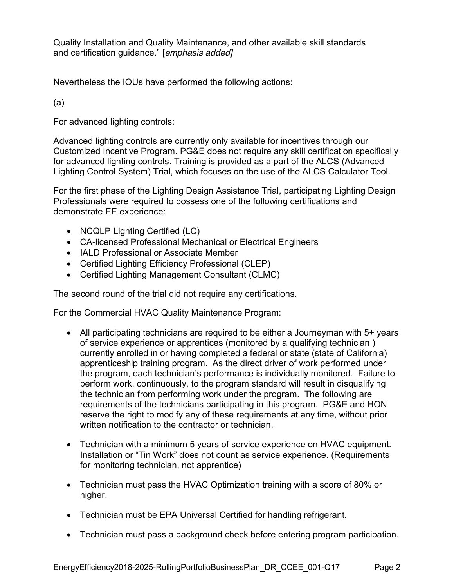Quality Installation and Quality Maintenance, and other available skill standards and certification guidance." [*emphasis added]*

Nevertheless the IOUs have performed the following actions:

(a)

For advanced lighting controls:

Advanced lighting controls are currently only available for incentives through our Customized Incentive Program. PG&E does not require any skill certification specifically for advanced lighting controls. Training is provided as a part of the ALCS (Advanced Lighting Control System) Trial, which focuses on the use of the ALCS Calculator Tool.

For the first phase of the Lighting Design Assistance Trial, participating Lighting Design Professionals were required to possess one of the following certifications and demonstrate EE experience:

- NCQLP Lighting Certified (LC)
- CA-licensed Professional Mechanical or Electrical Engineers
- IALD Professional or Associate Member
- Certified Lighting Efficiency Professional (CLEP)
- Certified Lighting Management Consultant (CLMC)

The second round of the trial did not require any certifications.

For the Commercial HVAC Quality Maintenance Program:

- All participating technicians are required to be either a Journeyman with  $5+$  years of service experience or apprentices (monitored by a qualifying technician ) currently enrolled in or having completed a federal or state (state of California) apprenticeship training program. As the direct driver of work performed under the program, each technician's performance is individually monitored. Failure to perform work, continuously, to the program standard will result in disqualifying the technician from performing work under the program. The following are requirements of the technicians participating in this program. PG&E and HON reserve the right to modify any of these requirements at any time, without prior written notification to the contractor or technician.
- Technician with a minimum 5 years of service experience on HVAC equipment. Installation or "Tin Work" does not count as service experience. (Requirements for monitoring technician, not apprentice)
- Technician must pass the HVAC Optimization training with a score of 80% or higher.
- Technician must be EPA Universal Certified for handling refrigerant.
- Technician must pass a background check before entering program participation.